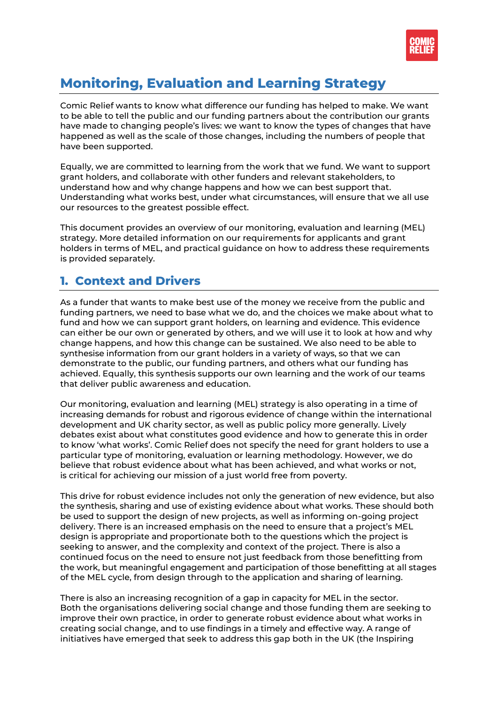

# **Monitoring, Evaluation and Learning Strategy**

Comic Relief wants to know what difference our funding has helped to make. We want to be able to tell the public and our funding partners about the contribution our grants have made to changing people's lives: we want to know the types of changes that have happened as well as the scale of those changes, including the numbers of people that have been supported.

Equally, we are committed to learning from the work that we fund. We want to support grant holders, and collaborate with other funders and relevant stakeholders, to understand how and why change happens and how we can best support that. Understanding what works best, under what circumstances, will ensure that we all use our resources to the greatest possible effect.

This document provides an overview of our monitoring, evaluation and learning (MEL) strategy. More detailed information on our requirements for applicants and grant holders in terms of MEL, and practical guidance on how to address these requirements is provided separately.

### **1. Context and Drivers**

As a funder that wants to make best use of the money we receive from the public and funding partners, we need to base what we do, and the choices we make about what to fund and how we can support grant holders, on learning and evidence. This evidence can either be our own or generated by others, and we will use it to look at how and why change happens, and how this change can be sustained. We also need to be able to synthesise information from our grant holders in a variety of ways, so that we can demonstrate to the public, our funding partners, and others what our funding has achieved. Equally, this synthesis supports our own learning and the work of our teams that deliver public awareness and education.

Our monitoring, evaluation and learning (MEL) strategy is also operating in a time of increasing demands for robust and rigorous evidence of change within the international development and UK charity sector, as well as public policy more generally. Lively debates exist about what constitutes good evidence and how to generate this in order to know 'what works'. Comic Relief does not specify the need for grant holders to use a particular type of monitoring, evaluation or learning methodology. However, we do believe that robust evidence about what has been achieved, and what works or not, is critical for achieving our mission of a just world free from poverty.

This drive for robust evidence includes not only the generation of new evidence, but also the synthesis, sharing and use of existing evidence about what works. These should both be used to support the design of new projects, as well as informing on-going project delivery. There is an increased emphasis on the need to ensure that a project's MEL design is appropriate and proportionate both to the questions which the project is seeking to answer, and the complexity and context of the project. There is also a continued focus on the need to ensure not just feedback from those benefitting from the work, but meaningful engagement and participation of those benefitting at all stages of the MEL cycle, from design through to the application and sharing of learning.

There is also an increasing recognition of a gap in capacity for MEL in the sector. Both the organisations delivering social change and those funding them are seeking to improve their own practice, in order to generate robust evidence about what works in creating social change, and to use findings in a timely and effective way. A range of initiatives have emerged that seek to address this gap both in the UK (the Inspiring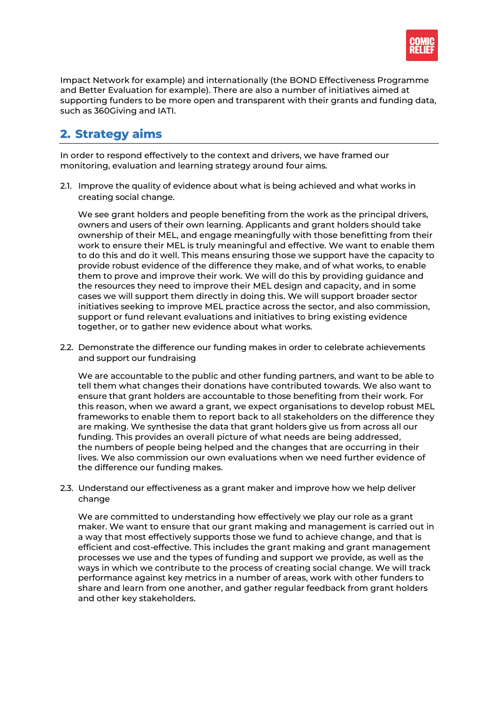

Impact Network for example) and internationally (the BOND Effectiveness Programme and Better Evaluation for example). There are also a number of initiatives aimed at supporting funders to be more open and transparent with their grants and funding data, such as 360Giving and IATI.

## **2. Strategy aims**

In order to respond effectively to the context and drivers, we have framed our monitoring, evaluation and learning strategy around four aims.

2.1. Improve the quality of evidence about what is being achieved and what works in creating social change.

We see grant holders and people benefiting from the work as the principal drivers, owners and users of their own learning. Applicants and grant holders should take ownership of their MEL, and engage meaningfully with those benefitting from their work to ensure their MEL is truly meaningful and effective. We want to enable them to do this and do it well. This means ensuring those we support have the capacity to provide robust evidence of the difference they make, and of what works, to enable them to prove and improve their work. We will do this by providing guidance and the resources they need to improve their MEL design and capacity, and in some cases we will support them directly in doing this. We will support broader sector initiatives seeking to improve MEL practice across the sector, and also commission, support or fund relevant evaluations and initiatives to bring existing evidence together, or to gather new evidence about what works.

2.2. Demonstrate the difference our funding makes in order to celebrate achievements and support our fundraising

We are accountable to the public and other funding partners, and want to be able to tell them what changes their donations have contributed towards. We also want to ensure that grant holders are accountable to those benefiting from their work. For this reason, when we award a grant, we expect organisations to develop robust MEL frameworks to enable them to report back to all stakeholders on the difference they are making. We synthesise the data that grant holders give us from across all our funding. This provides an overall picture of what needs are being addressed, the numbers of people being helped and the changes that are occurring in their lives. We also commission our own evaluations when we need further evidence of the difference our funding makes.

2.3. Understand our effectiveness as a grant maker and improve how we help deliver change

We are committed to understanding how effectively we play our role as a grant maker. We want to ensure that our grant making and management is carried out in a way that most effectively supports those we fund to achieve change, and that is efficient and cost-effective. This includes the grant making and grant management processes we use and the types of funding and support we provide, as well as the ways in which we contribute to the process of creating social change. We will track performance against key metrics in a number of areas, work with other funders to share and learn from one another, and gather regular feedback from grant holders and other key stakeholders.